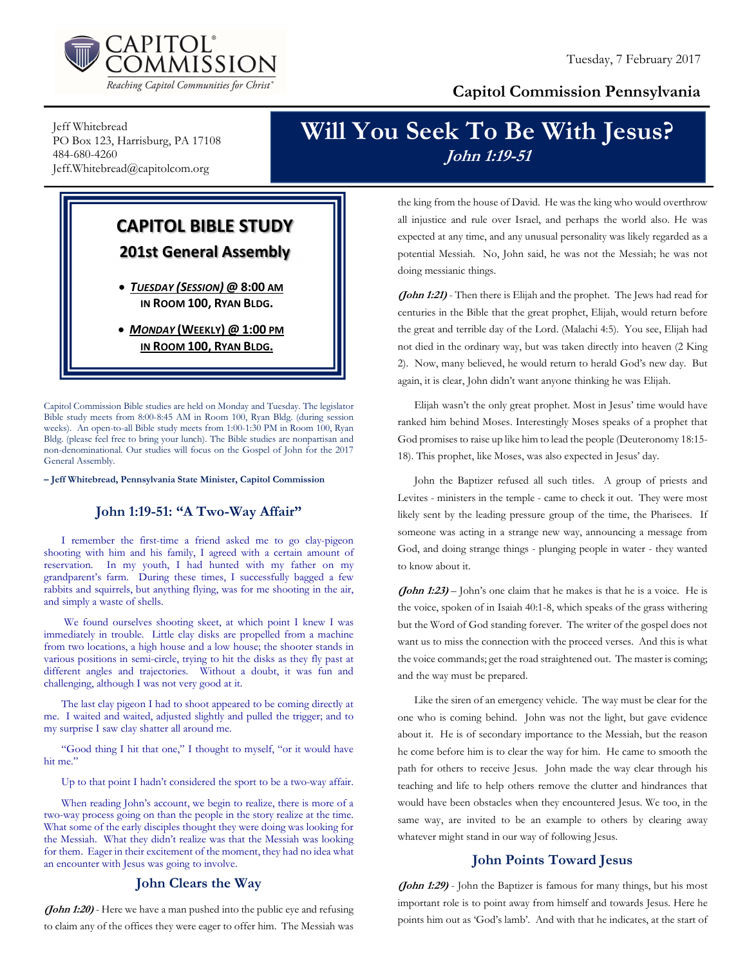

### Capitol Commission Pennsylvania

Jeff Whitebread PO Box 123, Harrisburg, PA 17108 484-680-4260 Jeff.Whitebread@capitolcom.org

## Will You Seek To Be With Jesus? John 1:19-51

## CAPITOL BIBLE STUDY 201st General Assembly

 TUESDAY (SESSION) @ 8:00 AM IN ROOM 100, RYAN BLDG.

• MONDAY (WEEKLY) @ 1:00 PM IN ROOM 100, RYAN BLDG.

Capitol Commission Bible studies are held on Monday and Tuesday. The legislator Bible study meets from 8:00-8:45 AM in Room 100, Ryan Bldg. (during session weeks). An open-to-all Bible study meets from 1:00-1:30 PM in Room 100, Ryan Bldg. (please feel free to bring your lunch). The Bible studies are nonpartisan and non-denominational. Our studies will focus on the Gospel of John for the 2017 General Assembly.

– Jeff Whitebread, Pennsylvania State Minister, Capitol Commission

#### John 1:19-51: "A Two-Way Affair"

I remember the first-time a friend asked me to go clay-pigeon shooting with him and his family, I agreed with a certain amount of reservation. In my youth, I had hunted with my father on my grandparent's farm. During these times, I successfully bagged a few rabbits and squirrels, but anything flying, was for me shooting in the air, and simply a waste of shells.

 We found ourselves shooting skeet, at which point I knew I was immediately in trouble. Little clay disks are propelled from a machine from two locations, a high house and a low house; the shooter stands in various positions in semi-circle, trying to hit the disks as they fly past at different angles and trajectories. Without a doubt, it was fun and challenging, although I was not very good at it.

The last clay pigeon I had to shoot appeared to be coming directly at me. I waited and waited, adjusted slightly and pulled the trigger; and to my surprise I saw clay shatter all around me.

"Good thing I hit that one," I thought to myself, "or it would have hit me."

Up to that point I hadn't considered the sport to be a two-way affair.

When reading John's account, we begin to realize, there is more of a two-way process going on than the people in the story realize at the time. What some of the early disciples thought they were doing was looking for the Messiah. What they didn't realize was that the Messiah was looking for them. Eager in their excitement of the moment, they had no idea what an encounter with Jesus was going to involve.

#### John Clears the Way

(John 1:20) - Here we have a man pushed into the public eye and refusing to claim any of the offices they were eager to offer him. The Messiah was

the king from the house of David. He was the king who would overthrow all injustice and rule over Israel, and perhaps the world also. He was expected at any time, and any unusual personality was likely regarded as a potential Messiah. No, John said, he was not the Messiah; he was not doing messianic things.

(John 1:21) - Then there is Elijah and the prophet. The Jews had read for centuries in the Bible that the great prophet, Elijah, would return before the great and terrible day of the Lord. (Malachi 4:5). You see, Elijah had not died in the ordinary way, but was taken directly into heaven (2 King 2). Now, many believed, he would return to herald God's new day. But again, it is clear, John didn't want anyone thinking he was Elijah.

Elijah wasn't the only great prophet. Most in Jesus' time would have ranked him behind Moses. Interestingly Moses speaks of a prophet that God promises to raise up like him to lead the people (Deuteronomy 18:15- 18). This prophet, like Moses, was also expected in Jesus' day.

John the Baptizer refused all such titles. A group of priests and Levites - ministers in the temple - came to check it out. They were most likely sent by the leading pressure group of the time, the Pharisees. If someone was acting in a strange new way, announcing a message from God, and doing strange things - plunging people in water - they wanted to know about it.

(*John 1:23*) – John's one claim that he makes is that he is a voice. He is the voice, spoken of in Isaiah 40:1-8, which speaks of the grass withering but the Word of God standing forever. The writer of the gospel does not want us to miss the connection with the proceed verses. And this is what the voice commands; get the road straightened out. The master is coming; and the way must be prepared.

Like the siren of an emergency vehicle. The way must be clear for the one who is coming behind. John was not the light, but gave evidence about it. He is of secondary importance to the Messiah, but the reason he come before him is to clear the way for him. He came to smooth the path for others to receive Jesus. John made the way clear through his teaching and life to help others remove the clutter and hindrances that would have been obstacles when they encountered Jesus. We too, in the same way, are invited to be an example to others by clearing away whatever might stand in our way of following Jesus.

#### John Points Toward Jesus

(John 1:29) - John the Baptizer is famous for many things, but his most important role is to point away from himself and towards Jesus. Here he points him out as 'God's lamb'. And with that he indicates, at the start of